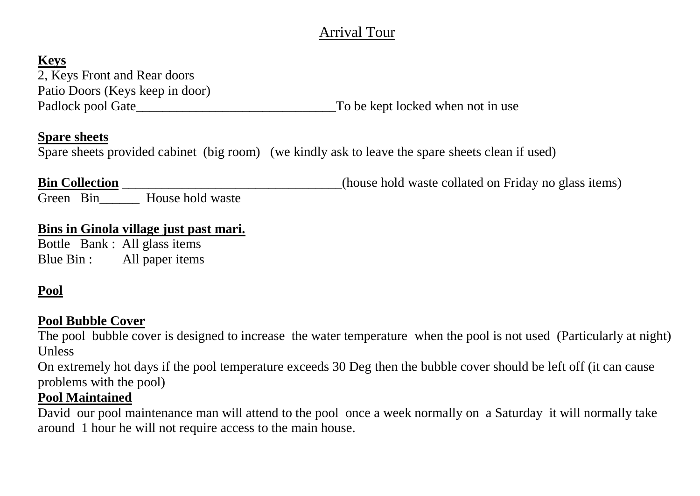# Arrival Tour

# **Keys**

2, Keys Front and Rear doors Patio Doors (Keys keep in door) Padlock pool Gate\_\_\_\_\_\_\_\_\_\_\_\_\_\_\_\_\_\_\_\_\_\_\_\_\_\_\_\_\_\_To be kept locked when not in use

#### **Spare sheets**

Spare sheets provided cabinet (big room) (we kindly ask to leave the spare sheets clean if used)

**Bin Collection** \_\_\_\_\_\_\_\_\_\_\_\_\_\_\_\_\_\_\_\_\_\_\_\_(house hold waste collated on Friday no glass items)

Green Bin House hold waste

#### **Bins in Ginola village just past mari.**

Bottle Bank : All glass items Blue Bin : All paper items

# **Pool**

### **Pool Bubble Cover**

The pool bubble cover is designed to increase the water temperature when the pool is not used (Particularly at night) Unless

On extremely hot days if the pool temperature exceeds 30 Deg then the bubble cover should be left off (it can cause problems with the pool)

# **Pool Maintained**

David our pool maintenance man will attend to the pool once a week normally on a Saturday it will normally take around 1 hour he will not require access to the main house.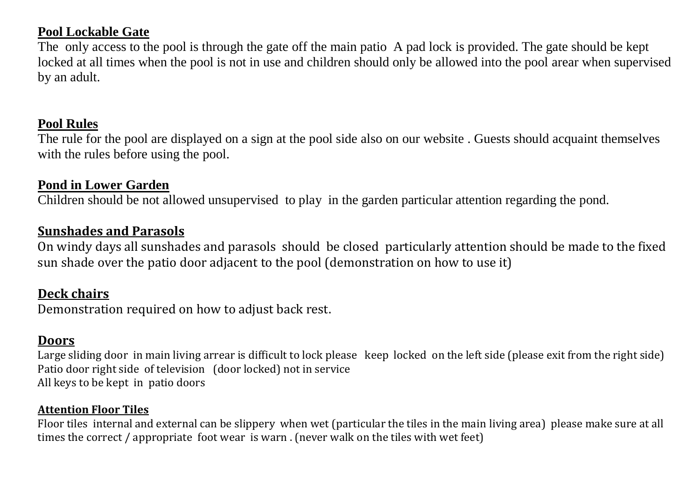### **Pool Lockable Gate**

The only access to the pool is through the gate off the main patio A pad lock is provided. The gate should be kept locked at all times when the pool is not in use and children should only be allowed into the pool arear when supervised by an adult.

#### **Pool Rules**

The rule for the pool are displayed on a sign at the pool side also on our website . Guests should acquaint themselves with the rules before using the pool.

### **Pond in Lower Garden**

Children should be not allowed unsupervised to play in the garden particular attention regarding the pond.

#### **Sunshades and Parasols**

On windy days all sunshades and parasols should be closed particularly attention should be made to the fixed sun shade over the patio door adjacent to the pool (demonstration on how to use it)

#### **Deck chairs**

Demonstration required on how to adjust back rest.

### **Doors**

Large sliding door in main living arrear is difficult to lock please keep locked on the left side (please exit from the right side) Patio door right side of television (door locked) not in service All keys to be kept in patio doors

#### **Attention Floor Tiles**

Floor tiles internal and external can be slippery when wet (particular the tiles in the main living area) please make sure at all times the correct / appropriate foot wear is warn . (never walk on the tiles with wet feet)